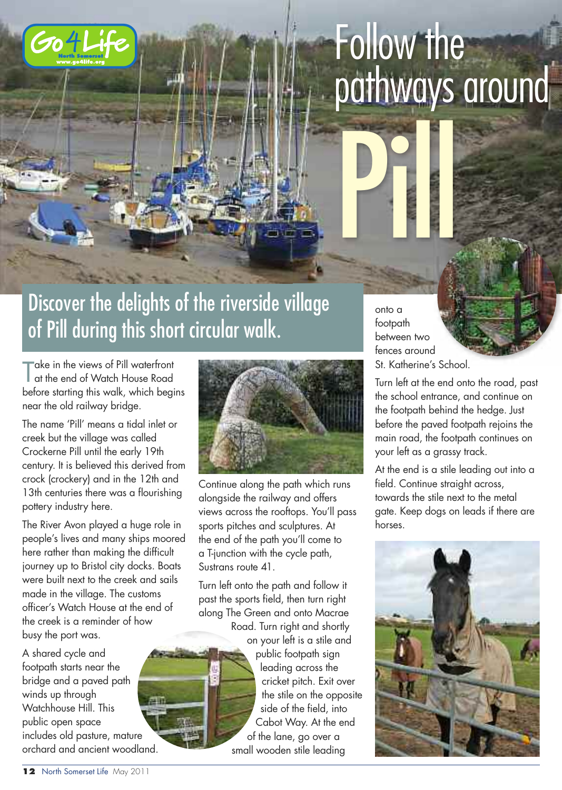

# Follow the pathways around

## Discover the delights of the riverside village of Pill during this short circular walk.

T  $\overline{\phantom{a}}$ ake in the views of Pill waterfront at the end of Watch House Road before starting this walk, which begins near the old railway bridge.

The name 'Pill' means a tidal inlet or creek but the village was called Crockerne Pill until the early 19th century. It is believed this derived from crock (crockery) and in the 12th and 13th centuries there was a flourishing pottery industry here.

The River Avon played a huge role in people's lives and many ships moored here rather than making the difficult journey up to Bristol city docks. Boats were built next to the creek and sails made in the village. The customs officer's Watch House at the end of the creek is a reminder of how busy the port was.

A shared cycle and footpath starts near the bridge and a paved path winds up through Watchhouse Hill. This public open space includes old pasture, mature orchard and ancient woodland.



Continue along the path which runs alongside the railway and offers views across the rooftops. You'll pass sports pitches and sculptures. At the end of the path you'll come to a T-junction with the cycle path, Sustrans route 41.

Turn left onto the path and follow it past the sports field, then turn right along The Green and onto Macrae

Road. Turn right and shortly

on your left is a stile and public footpath sign leading across the cricket pitch. Exit over the stile on the opposite side of the field, into Cabot Way. At the end of the lane, go over a small wooden stile leading

onto a footpath between two fences around St. Katherine's School.

Pilled and the second second second second second second second second second second second second second second second second second second second second second second second second second second second second second seco

Turn left at the end onto the road, past the school entrance, and continue on the footpath behind the hedge. Just before the paved footpath rejoins the main road, the footpath continues on your left as a grassy track.

At the end is a stile leading out into a field. Continue straight across, towards the stile next to the metal gate. Keep dogs on leads if there are horses.